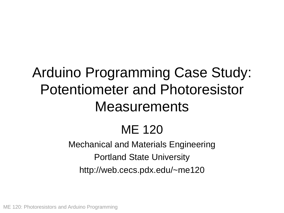## Arduino Programming Case Study: Potentiometer and Photoresistor **Measurements**

## ME 120

### Mechanical and Materials Engineering Portland State University http://web.cecs.pdx.edu/~me120

ME 120: Photoresistors and Arduino Programming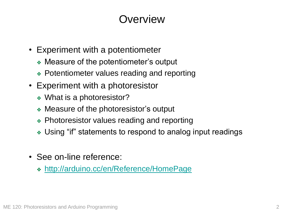### **Overview**

- Experiment with a potentiometer
	- ❖ Measure of the potentiometer's output
	- ❖ Potentiometer values reading and reporting
- Experiment with a photoresistor
	- ❖ What is a photoresistor?
	- ❖ Measure of the photoresistor's output
	- ❖ Photoresistor values reading and reporting
	- ❖ Using "if" statements to respond to analog input readings
- See on-line reference:
	- ❖ <http://arduino.cc/en/Reference/HomePage>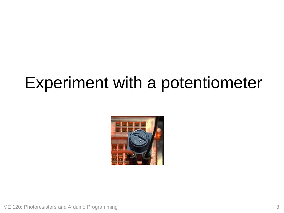## Experiment with a potentiometer

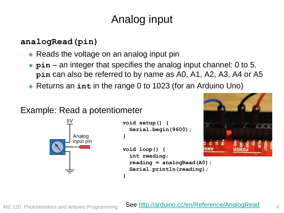### Analog input

#### **analogRead(pin)**

- ❖ Reads the voltage on an analog input pin
- ❖ **pin** an integer that specifies the analog input channel: 0 to 5. **pin** can also be referred to by name as A0, A1, A2, A3, A4 or A5
- ❖ Returns an **int** in the range 0 to 1023 (for an Arduino Uno)

**}**

#### Example: Read a potentiometer



```
void setup() {
  Serial.begin(9600);
}
void loop() {
```


#### **int reading; reading = analogRead(A0); Serial.println(reading);**

#### ME 120: Photoresistors and Arduino Programming

#### See <http://arduino.cc/en/Reference/AnalogRead>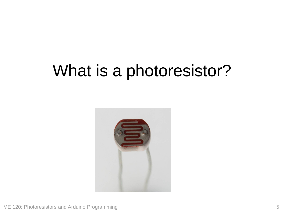## What is a photoresistor?

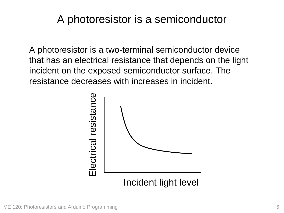### A photoresistor is a semiconductor

A photoresistor is a two-terminal semiconductor device that has an electrical resistance that depends on the light incident on the exposed semiconductor surface. The resistance decreases with increases in incident.

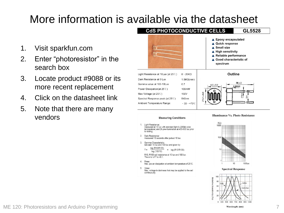### More information is available via the datasheet

5. V<sub>max</sub>

continuously

Max. voltage in darkness that may be applied to the cell

- 1. Visit sparkfun.com
- 2. Enter "photoresistor" in the search box
- 3. Locate product #9088 or its more recent replacement
- 4. Click on the datasheet link
- 5. Note that there are many vendors







ME 120: Photoresistors and Arduino Programming

Wavelength (nm)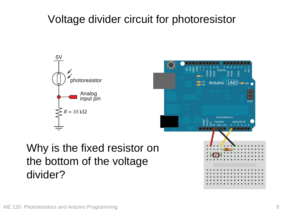### Voltage divider circuit for photoresistor



### Why is the fixed resistor on the bottom of the voltage divider?

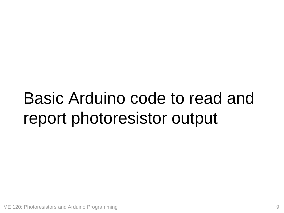# Basic Arduino code to read and report photoresistor output

ME 120: Photoresistors and Arduino Programming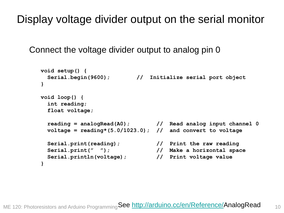Display voltage divider output on the serial monitor

Connect the voltage divider output to analog pin 0

```
void setup() {
 Serial.begin(9600); // Initialize serial port object
}
void loop() {
 int reading;
 float voltage;
 reading = analogRead(A0); // Read analog input channel 0
 voltage = reading*(5.0/1023.0); // and convert to voltage
 Serial.print(reading); // Print the raw reading
 Serial.print(" "); // Make a horizontal space
 Serial.println(voltage); // Print voltage value
}
```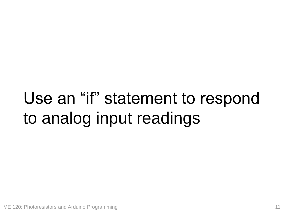# Use an "if" statement to respond to analog input readings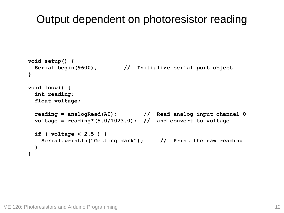### Output dependent on photoresistor reading

```
void setup() {
 Serial.begin(9600); // Initialize serial port object
}
void loop() {
  int reading;
  float voltage;
 reading = analogRead(A0); // Read analog input channel 0
 voltage = reading*(5.0/1023.0); // and convert to voltage
  if ( voltage < 2.5 ) {
   Serial.println("Getting dark"); // Print the raw reading
  }
}
```